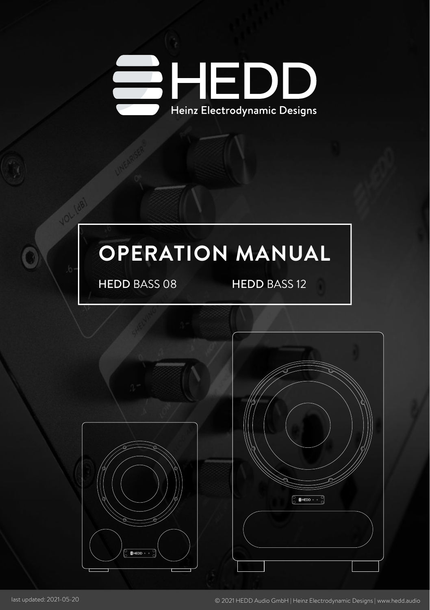

## **OPERATION MANUAL**

HEDD BASS 08 HEDD BASS 12



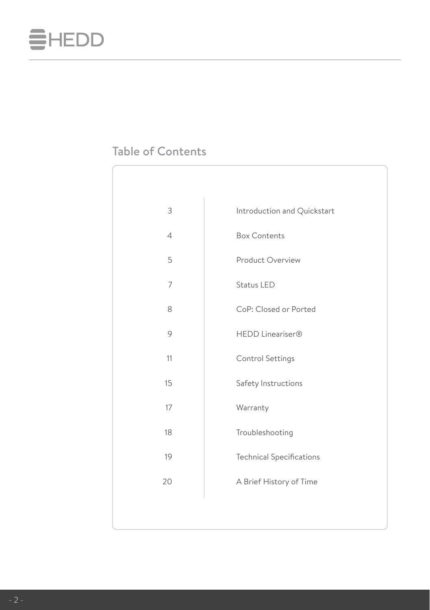

## Table of Contents

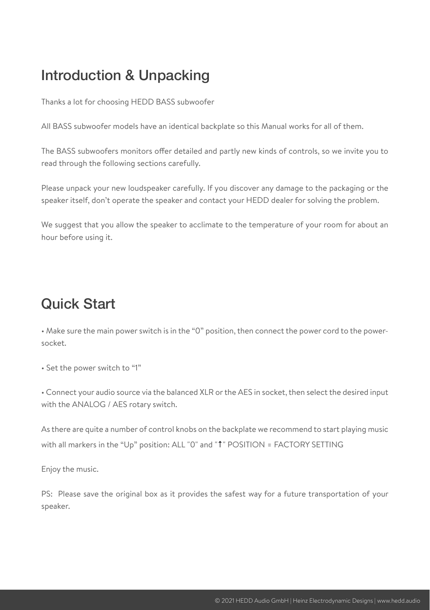## Introduction & Unpacking

Thanks a lot for choosing HEDD BASS subwoofer

All BASS subwoofer models have an identical backplate so this Manual works for all of them.

The BASS subwoofers monitors offer detailed and partly new kinds of controls, so we invite you to read through the following sections carefully.

Please unpack your new loudspeaker carefully. If you discover any damage to the packaging or the speaker itself, don't operate the speaker and contact your HEDD dealer for solving the problem.

We suggest that you allow the speaker to acclimate to the temperature of your room for about an hour before using it.

## Quick Start

• Make sure the main power switch is in the "0" position, then connect the power cord to the powersocket.

• Set the power switch to "1"

• Connect your audio source via the balanced XLR or the AES in socket, then select the desired input with the ANALOG / AES rotary switch.

As there are quite a number of control knobs on the backplate we recommend to start playing music with all markers in the "Up" position: ALL "0" and "<sup>†</sup>" POSITION = FACTORY SETTING

Enjoy the music.

PS: Please save the original box as it provides the safest way for a future transportation of your speaker.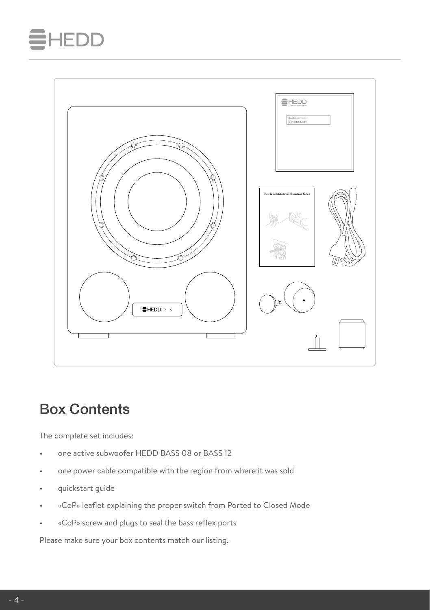## **IEDD**



## Box Contents

The complete set includes:

- one active subwoofer HEDD BASS 08 or BASS 12
- one power cable compatible with the region from where it was sold
- quickstart guide
- «CoP» leaflet explaining the proper switch from Ported to Closed Mode
- «CoP» screw and plugs to seal the bass reflex ports

Please make sure your box contents match our listing.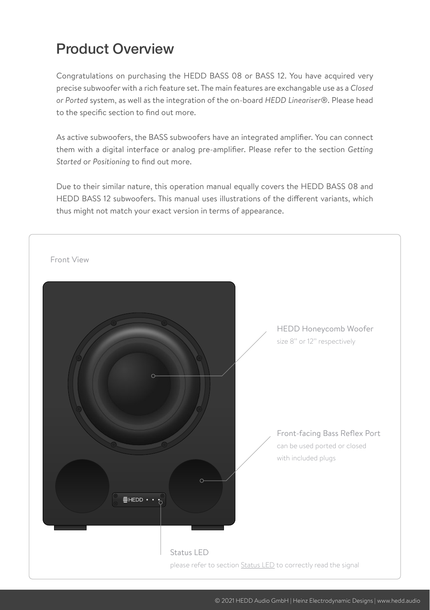## Product Overview

Congratulations on purchasing the HEDD BASS 08 or BASS 12. You have acquired very precise subwoofer with a rich feature set. The main features are exchangable use as a *Closed or Ported* system, as well as the integration of the on-board *HEDD Lineariser*®. Please head to the specific section to find out more.

As active subwoofers, the BASS subwoofers have an integrated amplifier. You can connect them with a digital interface or analog pre-amplifier. Please refer to the section *Getting Started* or *Positioning* to find out more.

Due to their similar nature, this operation manual equally covers the HEDD BASS 08 and HEDD BASS 12 subwoofers. This manual uses illustrations of the different variants, which thus might not match your exact version in terms of appearance.

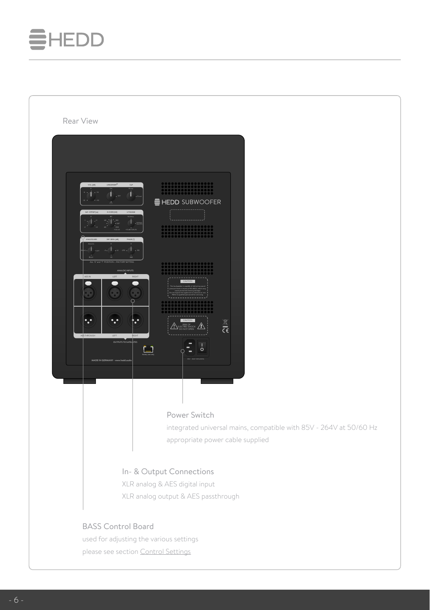# **EHEDD**

| Rear View<br>T.<br><b>E</b> HEDD SUBWOOFER<br>$\dot{\mathbb{L}}$ as<br>∩<br>٠.,<br>h.<br>$\frac{\mathbb{E}}{\zeta \epsilon}$<br>OUTPUTS TO SATELITES<br>$\Box$<br>MADE IN GERMANY - www.hedd.a<br>Power Switch<br>integrated universal mains, compatible with 85V - 264V at 50/60 Hz<br>appropriate power cable supplied |
|--------------------------------------------------------------------------------------------------------------------------------------------------------------------------------------------------------------------------------------------------------------------------------------------------------------------------|
| In- & Output Connections<br>XLR analog & AES digital input<br>XLR analog output & AES passthrough                                                                                                                                                                                                                        |
| <b>BASS Control Board</b><br>used for adjusting the various settings<br>please see section Control Settings                                                                                                                                                                                                              |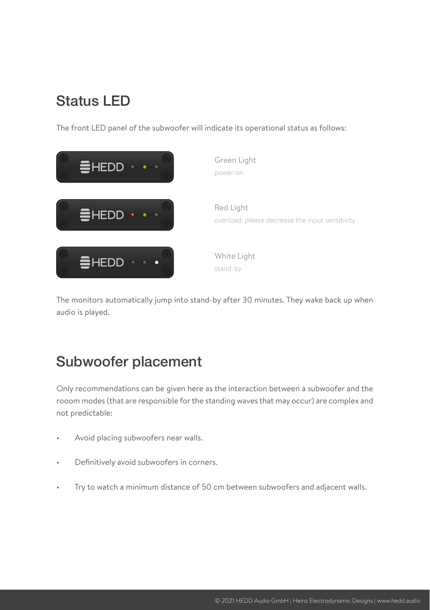## <span id="page-6-0"></span>Status LED

The front LED panel of the subwoofer will indicate its operational status as follows:



The monitors automatically jump into stand-by after 30 minutes. They wake back up when audio is played.

## Subwoofer placement

Only recommendations can be given here as the interaction between a subwoofer and the rooom modes (that are responsible for the standing waves that may occur) are complex and not predictable:

- Avoid placing subwoofers near walls.
- Definitively avoid subwoofers in corners.
- Try to watch a minimum distance of 50 cm between subwoofers and adjacent walls.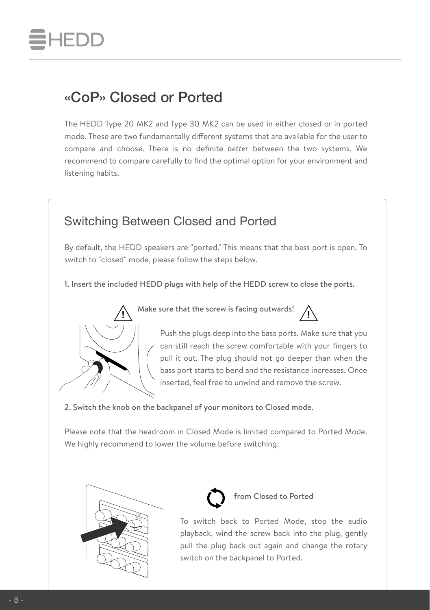

## «CoP» Closed or Ported

The HEDD Type 20 MK2 and Type 30 MK2 can be used in either closed or in ported mode. These are two fundamentally different systems that are available for the user to compare and choose. There is no definite *better* between the two systems. We recommend to compare carefully to find the optimal option for your environment and listening habits.

### Switching Between Closed and Ported

By default, the HEDD speakers are "ported." This means that the bass port is open. To switch to "closed" mode, please follow the steps below.

1. Insert the included HEDD plugs with help of the HEDD screw to close the ports.



Make sure that the screw is facing outwards! **! !**



Push the plugs deep into the bass ports. Make sure that you can still reach the screw comfortable with your fingers to pull it out. The plug should not go deeper than when the bass port starts to bend and the resistance increases. Once inserted, feel free to unwind and remove the screw.

2. Switch the knob on the backpanel of your monitors to Closed mode.

Please note that the headroom in Closed Mode is limited compared to Ported Mode. We highly recommend to lower the volume before switching.





from Closed to Ported

To switch back to Ported Mode, stop the audio playback, wind the screw back into the plug, gently pull the plug back out again and change the rotary switch on the backpanel to Ported.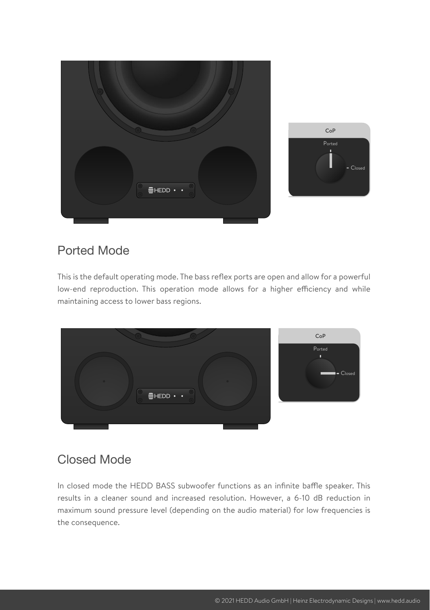

## Ported Mode

This is the default operating mode. The bass reflex ports are open and allow for a powerful low-end reproduction. This operation mode allows for a higher efficiency and while maintaining access to lower bass regions.



## Closed Mode

In closed mode the HEDD BASS subwoofer functions as an infinite baffle speaker. This results in a cleaner sound and increased resolution. However, a 6-10 dB reduction in maximum sound pressure level (depending on the audio material) for low frequencies is the consequence.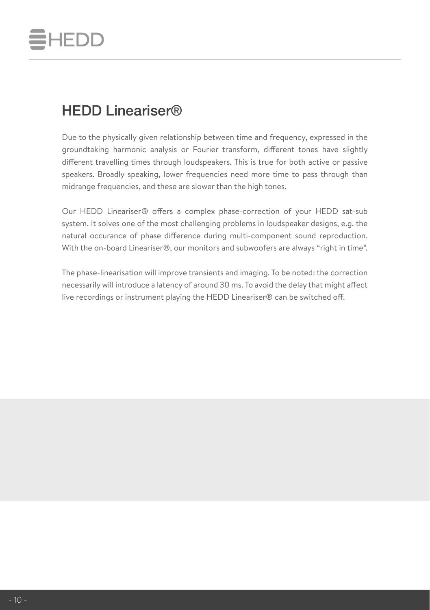# **HEDD**

## <span id="page-9-0"></span>HEDD Lineariser®

Due to the physically given relationship between time and frequency, expressed in the groundtaking harmonic analysis or Fourier transform, different tones have slightly different travelling times through loudspeakers. This is true for both active or passive speakers. Broadly speaking, lower frequencies need more time to pass through than midrange frequencies, and these are slower than the high tones.

Our HEDD Lineariser® offers a complex phase-correction of your HEDD sat-sub system. It solves one of the most challenging problems in loudspeaker designs, e.g. the natural occurance of phase difference during multi-component sound reproduction. With the on-board Lineariser®, our monitors and subwoofers are always "right in time".

The phase-linearisation will improve transients and imaging. To be noted: the correction necessarily will introduce a latency of around 30 ms. To avoid the delay that might affect live recordings or instrument playing the HEDD Lineariser® can be switched off.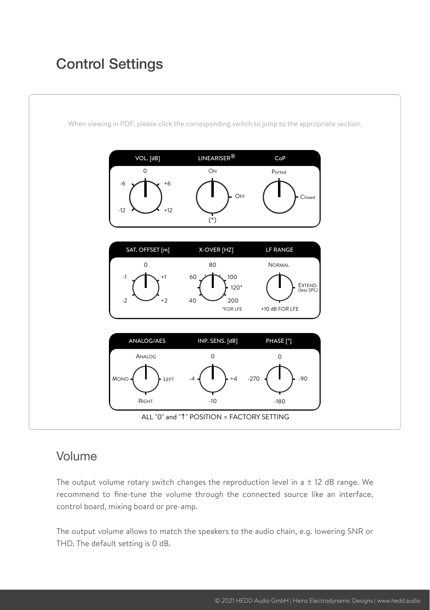## <span id="page-10-0"></span>Control Settings



### Volume

The output volume rotary switch changes the reproduction level in a  $\pm$  12 dB range. We recommend to fine-tune the volume through the connected source like an interface, control board, mixing board or pre-amp.

The output volume allows to match the speakers to the audio chain, e.g. lowering SNR or THD. The default setting is 0 dB.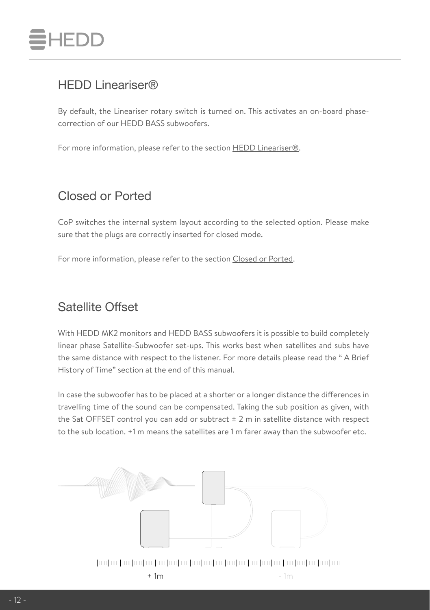

### HEDD Lineariser®

By default, the Lineariser rotary switch is turned on. This activates an on-board phasecorrection of our HEDD BASS subwoofers.

For more information, please refer to the section [HEDD Lineariser®.](#page-9-0)

### Closed or Ported

CoP switches the internal system layout according to the selected option. Please make sure that the plugs are correctly inserted for closed mode.

For more information, please refer to the section Closed or Ported.

### Satellite Offset

With HEDD MK2 monitors and HEDD BASS subwoofers it is possible to build completely linear phase Satellite-Subwoofer set-ups. This works best when satellites and subs have the same distance with respect to the listener. For more details please read the " A Brief History of Time" section at the end of this manual.

In case the subwoofer has to be placed at a shorter or a longer distance the differences in travelling time of the sound can be compensated. Taking the sub position as given, with the Sat OFFSET control you can add or subtract  $\pm$  2 m in satellite distance with respect to the sub location. +1 m means the satellites are 1 m farer away than the subwoofer etc.

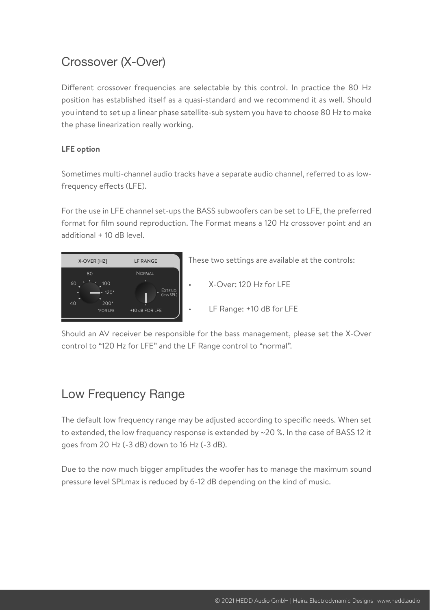## Crossover (X-Over)

Different crossover frequencies are selectable by this control. In practice the 80 Hz position has established itself as a quasi-standard and we recommend it as well. Should you intend to set up a linear phase satellite-sub system you have to choose 80 Hz to make the phase linearization really working.

#### **LFE option**

Sometimes multi-channel audio tracks have a separate audio channel, referred to as lowfrequency effects (LFE).

For the use in LFE channel set-ups the BASS subwoofers can be set to LFE, the preferred format for film sound reproduction. The Format means a 120 Hz crossover point and an additional + 10 dB level.



Should an AV receiver be responsible for the bass management, please set the X-Over control to "120 Hz for LFE" and the LF Range control to "normal".

## Low Frequency Range

The default low frequency range may be adjusted according to specific needs. When set to extended, the low frequency response is extended by ~20 %. In the case of BASS 12 it goes from 20 Hz (-3 dB) down to 16 Hz (-3 dB).

Due to the now much bigger amplitudes the woofer has to manage the maximum sound pressure level SPLmax is reduced by 6-12 dB depending on the kind of music.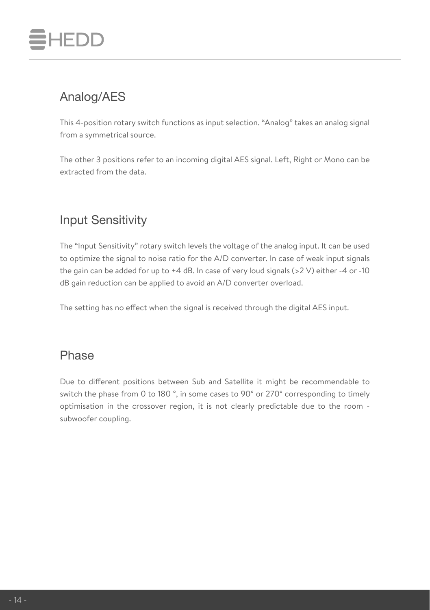# FDD

## Analog/AES

This 4-position rotary switch functions as input selection. "Analog" takes an analog signal from a symmetrical source.

The other 3 positions refer to an incoming digital AES signal. Left, Right or Mono can be extracted from the data.

## Input Sensitivity

The "Input Sensitivity" rotary switch levels the voltage of the analog input. It can be used to optimize the signal to noise ratio for the A/D converter. In case of weak input signals the gain can be added for up to  $+4$  dB. In case of very loud signals ( $>2$  V) either -4 or -10 dB gain reduction can be applied to avoid an A/D converter overload.

The setting has no effect when the signal is received through the digital AES input.

### Phase

Due to different positions between Sub and Satellite it might be recommendable to switch the phase from 0 to 180 °, in some cases to 90° or 270° corresponding to timely optimisation in the crossover region, it is not clearly predictable due to the room subwoofer coupling.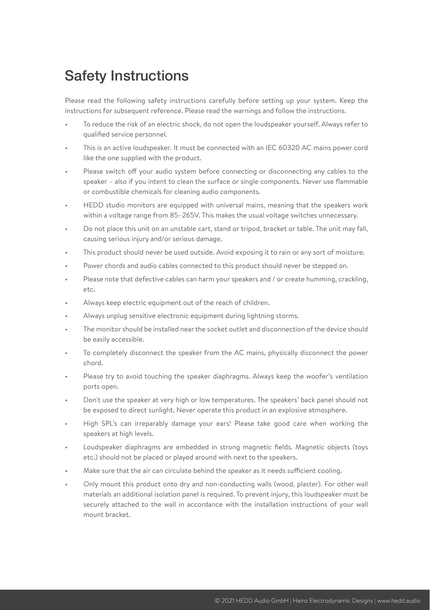## Safety Instructions

Please read the following safety instructions carefully before setting up your system. Keep the instructions for subsequent reference. Please read the warnings and follow the instructions.

- To reduce the risk of an electric shock, do not open the loudspeaker yourself. Always refer to qualified service personnel.
- This is an active loudspeaker. It must be connected with an IEC 60320 AC mains power cord like the one supplied with the product.
- Please switch off your audio system before connecting or disconnecting any cables to the speaker – also if you intent to clean the surface or single components. Never use flammable or combustible chemicals for cleaning audio components.
- HEDD studio monitors are equipped with universal mains, meaning that the speakers work within a voltage range from 85–265V. This makes the usual voltage switches unnecessary.
- Do not place this unit on an unstable cart, stand or tripod, bracket or table. The unit may fall, causing serious injury and/or serious damage.
- This product should never be used outside. Avoid exposing it to rain or any sort of moisture.
- Power chords and audio cables connected to this product should never be stepped on.
- Please note that defective cables can harm your speakers and / or create humming, crackling, etc.
- Always keep electric equipment out of the reach of children.
- Always unplug sensitive electronic equipment during lightning storms.
- The monitor should be installed near the socket outlet and disconnection of the device should be easily accessible.
- To completely disconnect the speaker from the AC mains, physically disconnect the power chord.
- Please try to avoid touching the speaker diaphragms. Always keep the woofer's ventilation ports open.
- Don't use the speaker at very high or low temperatures. The speakers' back panel should not be exposed to direct sunlight. Never operate this product in an explosive atmosphere.
- High SPL's can irreparably damage your ears! Please take good care when working the speakers at high levels.
- Loudspeaker diaphragms are embedded in strong magnetic fields. Magnetic objects (toys etc.) should not be placed or played around with next to the speakers.
- Make sure that the air can circulate behind the speaker as it needs sufficient cooling.
- Only mount this product onto dry and non-conducting walls (wood, plaster). For other wall materials an additional isolation panel is required. To prevent injury, this loudspeaker must be securely attached to the wall in accordance with the installation instructions of your wall mount bracket.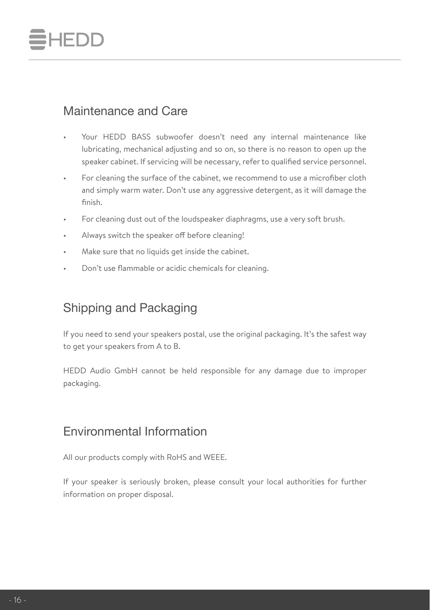# FDD

## Maintenance and Care

- Your HEDD BASS subwoofer doesn't need any internal maintenance like lubricating, mechanical adjusting and so on, so there is no reason to open up the speaker cabinet. If servicing will be necessary, refer to qualified service personnel.
- For cleaning the surface of the cabinet, we recommend to use a microfiber cloth and simply warm water. Don't use any aggressive detergent, as it will damage the finish.
- For cleaning dust out of the loudspeaker diaphragms, use a very soft brush.
- Always switch the speaker off before cleaning!
- Make sure that no liquids get inside the cabinet.
- Don't use flammable or acidic chemicals for cleaning.

## Shipping and Packaging

If you need to send your speakers postal, use the original packaging. It's the safest way to get your speakers from A to B.

HEDD Audio GmbH cannot be held responsible for any damage due to improper packaging.

## Environmental Information

All our products comply with RoHS and WEEE.

If your speaker is seriously broken, please consult your local authorities for further information on proper disposal.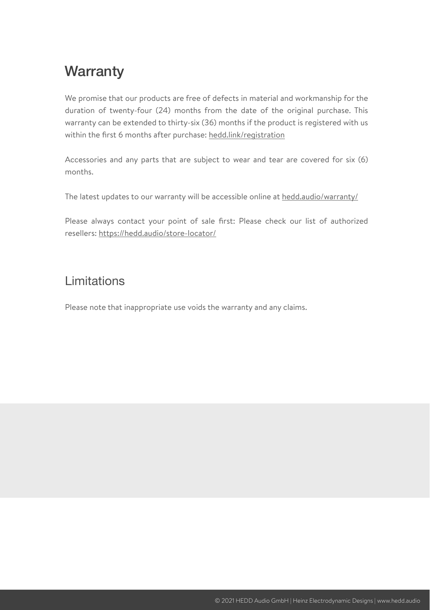## **Warranty**

We promise that our products are free of defects in material and workmanship for the duration of twenty-four (24) months from the date of the original purchase. This warranty can be extended to thirty-six (36) months if the product is registered with us within the first 6 months after purchase: [hedd.link/registration](https://hedd.link/registration)

Accessories and any parts that are subject to wear and tear are covered for six (6) months.

The latest updates to our warranty will be accessible online at [hedd.audio/warranty/](https://hedd.audio/warranty/)

Please always contact your point of sale first: Please check our list of authorized resellers: <https://hedd.audio/store-locator/>

### Limitations

Please note that inappropriate use voids the warranty and any claims.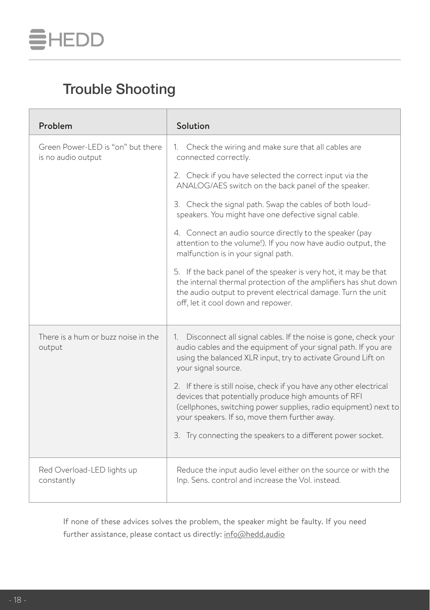

## Trouble Shooting

| Problem                                                 | Solution                                                                                                                                                                                                                                       |
|---------------------------------------------------------|------------------------------------------------------------------------------------------------------------------------------------------------------------------------------------------------------------------------------------------------|
| Green Power-LED is "on" but there<br>is no audio output | 1. Check the wiring and make sure that all cables are<br>connected correctly.                                                                                                                                                                  |
|                                                         | 2. Check if you have selected the correct input via the<br>ANALOG/AES switch on the back panel of the speaker.                                                                                                                                 |
|                                                         | 3. Check the signal path. Swap the cables of both loud-<br>speakers. You might have one defective signal cable.                                                                                                                                |
|                                                         | 4. Connect an audio source directly to the speaker (pay<br>attention to the volume!). If you now have audio output, the<br>malfunction is in your signal path.                                                                                 |
|                                                         | 5. If the back panel of the speaker is very hot, it may be that<br>the internal thermal protection of the amplifiers has shut down<br>the audio output to prevent electrical damage. Turn the unit<br>off, let it cool down and repower.       |
| There is a hum or buzz noise in the<br>output           | 1. Disconnect all signal cables. If the noise is gone, check your<br>audio cables and the equipment of your signal path. If you are<br>using the balanced XLR input, try to activate Ground Lift on<br>your signal source.                     |
|                                                         | 2. If there is still noise, check if you have any other electrical<br>devices that potentially produce high amounts of RFI<br>(cellphones, switching power supplies, radio equipment) next to<br>your speakers. If so, move them further away. |
|                                                         | 3. Try connecting the speakers to a different power socket.                                                                                                                                                                                    |
| Red Overload-LED lights up<br>constantly                | Reduce the input audio level either on the source or with the<br>Inp. Sens. control and increase the Vol. instead.                                                                                                                             |

If none of these advices solves the problem, the speaker might be faulty. If you need further assistance, please contact us directly: [info@hedd.audio](mailto:support@hedd.audio)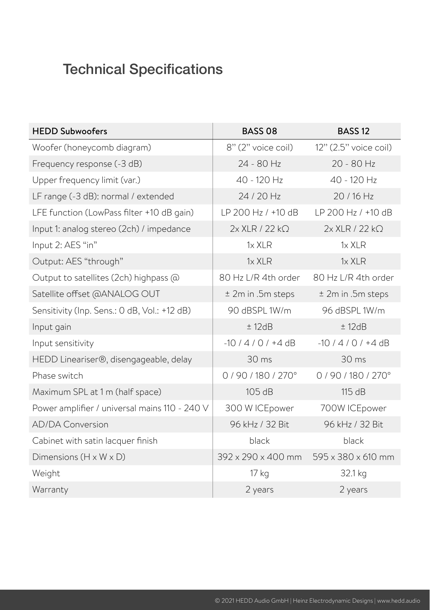## Technical Specifications

| <b>HEDD Subwoofers</b>                        | <b>BASS 08</b>                 | <b>BASS 12</b>           |
|-----------------------------------------------|--------------------------------|--------------------------|
| Woofer (honeycomb diagram)                    | 8" (2" voice coil)             | 12" (2.5" voice coil)    |
| Frequency response (-3 dB)                    | 24 - 80 Hz                     | 20 - 80 Hz               |
| Upper frequency limit (var.)                  | 40 - 120 Hz                    | 40 - 120 Hz              |
| LF range (-3 dB): normal / extended           | 24 / 20 Hz                     | 20/16 Hz                 |
| LFE function (LowPass filter +10 dB gain)     | LP 200 Hz / +10 dB             | LP 200 Hz / +10 dB       |
| Input 1: analog stereo (2ch) / impedance      | $2x$ XLR / 22 k $\Omega$       | $2x$ XLR / 22 k $\Omega$ |
| Input 2: AES "in"                             | $1x$ XLR                       | $1x$ XI R                |
| Output: AES "through"                         | $1x$ XLR                       | $1x$ XLR                 |
| Output to satellites (2ch) highpass @         | 80 Hz L/R 4th order            | 80 Hz L/R 4th order      |
| Satellite offset @ANALOG OUT                  | ± 2m in .5m steps              | ± 2m in .5m steps        |
| Sensitivity (Inp. Sens.: 0 dB, Vol.: +12 dB)  | 90 dBSPL 1W/m                  | 96 dBSPL 1W/m            |
| Input gain                                    | ± 12dB                         | ± 12dB                   |
| Input sensitivity                             | $-10/4/0/44$ dB                | $-10/4/0$ / +4 dB        |
| HEDD Lineariser®, disengageable, delay        | 30 <sub>ms</sub>               | 30 <sub>ms</sub>         |
| Phase switch                                  | 0/90/180/270°                  | 0/90/180/270°            |
| Maximum SPL at 1 m (half space)               | 105 dB                         | 115 dB                   |
| Power amplifier / universal mains 110 - 240 V | 300 W ICEpower                 | 700W ICEpower            |
| <b>AD/DA Conversion</b>                       | 96 kHz / 32 Bit                | 96 kHz / 32 Bit          |
| Cabinet with satin lacquer finish             | black                          | black                    |
| Dimensions $(H \times W \times D)$            | $392 \times 290 \times 400$ mm | 595 x 380 x 610 mm       |
| Weight                                        | 17 kg                          | 32.1 kg                  |
| Warranty                                      | 2 years                        | 2 years                  |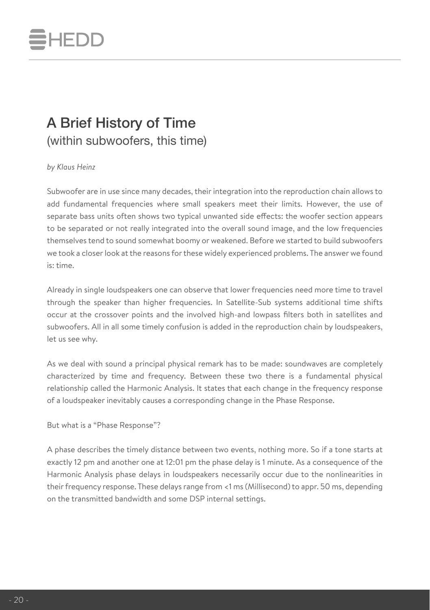## **IEDD**

## A Brief History of Time

(within subwoofers, this time)

#### *by Klaus Heinz*

Subwoofer are in use since many decades, their integration into the reproduction chain allows to add fundamental frequencies where small speakers meet their limits. However, the use of separate bass units often shows two typical unwanted side effects: the woofer section appears to be separated or not really integrated into the overall sound image, and the low frequencies themselves tend to sound somewhat boomy or weakened. Before we started to build subwoofers we took a closer look at the reasons for these widely experienced problems. The answer we found is: time.

Already in single loudspeakers one can observe that lower frequencies need more time to travel through the speaker than higher frequencies. In Satellite-Sub systems additional time shifts occur at the crossover points and the involved high-and lowpass filters both in satellites and subwoofers. All in all some timely confusion is added in the reproduction chain by loudspeakers, let us see why.

As we deal with sound a principal physical remark has to be made: soundwaves are completely characterized by time and frequency. Between these two there is a fundamental physical relationship called the Harmonic Analysis. It states that each change in the frequency response of a loudspeaker inevitably causes a corresponding change in the Phase Response.

But what is a "Phase Response"?

A phase describes the timely distance between two events, nothing more. So if a tone starts at exactly 12 pm and another one at 12:01 pm the phase delay is 1 minute. As a consequence of the Harmonic Analysis phase delays in loudspeakers necessarily occur due to the nonlinearities in their frequency response. These delays range from <1 ms (Millisecond) to appr. 50 ms, depending on the transmitted bandwidth and some DSP internal settings.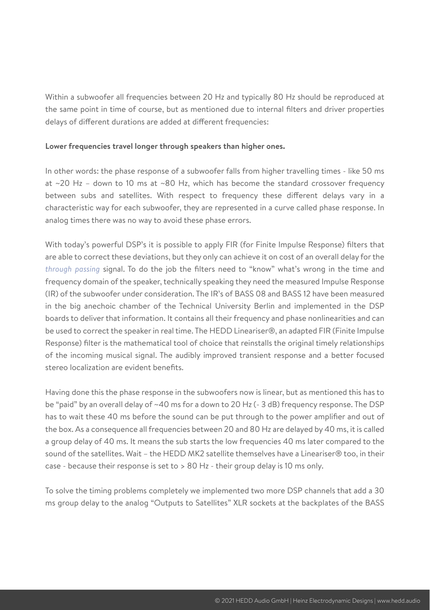Within a subwoofer all frequencies between 20 Hz and typically 80 Hz should be reproduced at the same point in time of course, but as mentioned due to internal filters and driver properties delays of different durations are added at different frequencies:

#### **Lower frequencies travel longer through speakers than higher ones.**

In other words: the phase response of a subwoofer falls from higher travelling times - like 50 ms at  $\sim$  20 Hz – down to 10 ms at  $\sim$  80 Hz, which has become the standard crossover frequency between subs and satellites. With respect to frequency these different delays vary in a characteristic way for each subwoofer, they are represented in a curve called phase response. In analog times there was no way to avoid these phase errors.

With today's powerful DSP's it is possible to apply FIR (for Finite Impulse Response) filters that are able to correct these deviations, but they only can achieve it on cost of an overall delay for the *through passing* signal. To do the job the filters need to "know" what's wrong in the time and frequency domain of the speaker, technically speaking they need the measured Impulse Response (IR) of the subwoofer under consideration. The IR's of BASS 08 and BASS 12 have been measured in the big anechoic chamber of the Technical University Berlin and implemented in the DSP boards to deliver that information. It contains all their frequency and phase nonlinearities and can be used to correct the speaker in real time. The HEDD Lineariser®, an adapted FIR (Finite Impulse Response) filter is the mathematical tool of choice that reinstalls the original timely relationships of the incoming musical signal. The audibly improved transient response and a better focused stereo localization are evident benefits.

Having done this the phase response in the subwoofers now is linear, but as mentioned this has to be "paid" by an overall delay of ~40 ms for a down to 20 Hz (- 3 dB) frequency response. The DSP has to wait these 40 ms before the sound can be put through to the power amplifier and out of the box. As a consequence all frequencies between 20 and 80 Hz are delayed by 40 ms, it is called a group delay of 40 ms. It means the sub starts the low frequencies 40 ms later compared to the sound of the satellites. Wait – the HEDD MK2 satellite themselves have a Lineariser® too, in their case - because their response is set to > 80 Hz - their group delay is 10 ms only.

To solve the timing problems completely we implemented two more DSP channels that add a 30 ms group delay to the analog "Outputs to Satellites" XLR sockets at the backplates of the BASS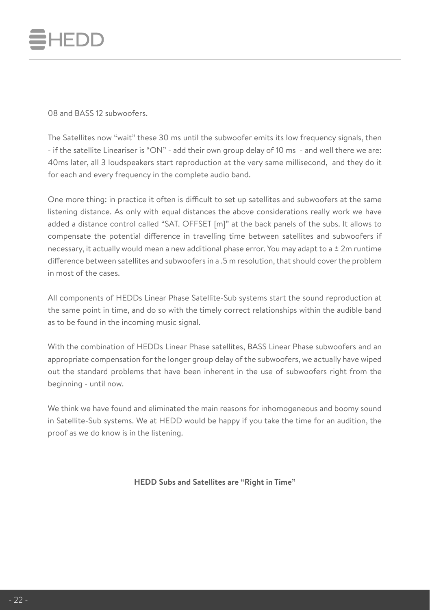

08 and BASS 12 subwoofers.

The Satellites now "wait" these 30 ms until the subwoofer emits its low frequency signals, then - if the satellite Lineariser is "ON" - add their own group delay of 10 ms - and well there we are: 40ms later, all 3 loudspeakers start reproduction at the very same millisecond, and they do it for each and every frequency in the complete audio band.

One more thing: in practice it often is difficult to set up satellites and subwoofers at the same listening distance. As only with equal distances the above considerations really work we have added a distance control called "SAT. OFFSET [m]" at the back panels of the subs. It allows to compensate the potential difference in travelling time between satellites and subwoofers if necessary, it actually would mean a new additional phase error. You may adapt to a ± 2m runtime difference between satellites and subwoofers in a .5 m resolution, that should cover the problem in most of the cases.

All components of HEDDs Linear Phase Satellite-Sub systems start the sound reproduction at the same point in time, and do so with the timely correct relationships within the audible band as to be found in the incoming music signal.

With the combination of HEDDs Linear Phase satellites, BASS Linear Phase subwoofers and an appropriate compensation for the longer group delay of the subwoofers, we actually have wiped out the standard problems that have been inherent in the use of subwoofers right from the beginning - until now.

We think we have found and eliminated the main reasons for inhomogeneous and boomy sound in Satellite-Sub systems. We at HEDD would be happy if you take the time for an audition, the proof as we do know is in the listening.

**HEDD Subs and Satellites are "Right in Time"**